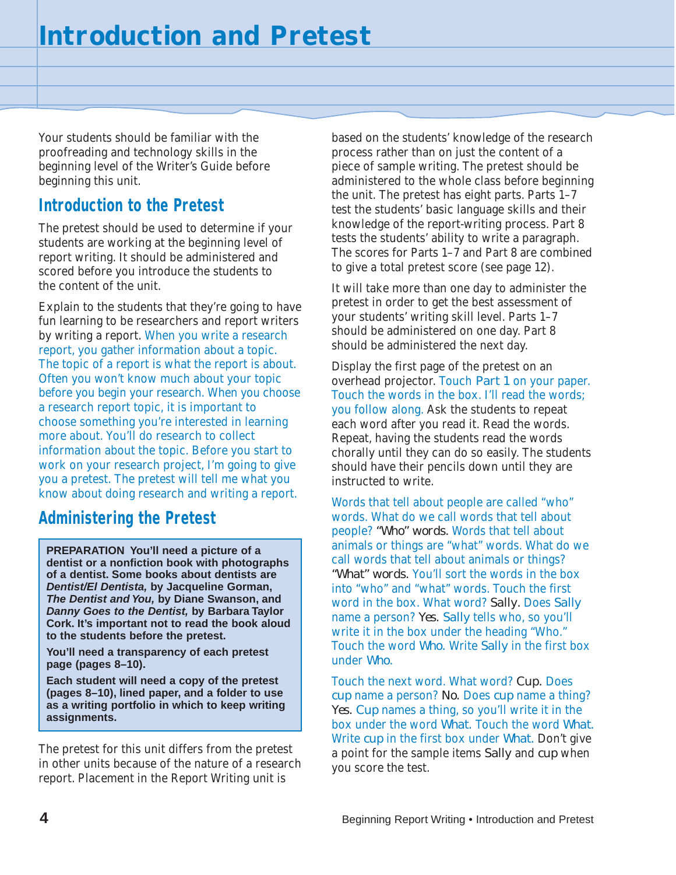Your students should be familiar with the proofreading and technology skills in the beginning level of the Writer's Guide before beginning this unit.

#### **Introduction to the Pretest**

The pretest should be used to determine if your students are working at the beginning level of report writing. It should be administered and scored before you introduce the students to the content of the unit.

Explain to the students that they're going to have fun learning to be researchers and report writers by writing a report. When you write a research report, you gather information about a topic. The topic of a report is what the report is about. Often you won't know much about your topic before you begin your research. When you choose a research report topic, it is important to choose something you're interested in learning more about. You'll do research to collect information about the topic. Before you start to work on your research project, I'm going to give you a pretest. The pretest will tell me what you know about doing research and writing a report.

#### **Administering the Pretest**

**PREPARATION You'll need a picture of a dentist or a nonfiction book with photographs of a dentist. Some books about dentists are Dentist/El Dentista, by Jacqueline Gorman, The Dentist and You, by Diane Swanson, and Danny Goes to the Dentist, by Barbara Taylor Cork. It's important not to read the book aloud to the students before the pretest.**

**You'll need a transparency of each pretest page (pages 8–10).**

**Each student will need a copy of the pretest (pages 8–10), lined paper, and a folder to use as a writing portfolio in which to keep writing assignments.**

The pretest for this unit differs from the pretest in other units because of the nature of a research report. Placement in the Report Writing unit is

based on the students' knowledge of the research process rather than on just the content of a piece of sample writing. The pretest should be administered to the whole class before beginning the unit. The pretest has eight parts. Parts 1–7 test the students' basic language skills and their knowledge of the report-writing process. Part 8 tests the students' ability to write a paragraph. The scores for Parts 1–7 and Part 8 are combined to give a total pretest score (see page 12).

It will take more than one day to administer the pretest in order to get the best assessment of your students' writing skill level. Parts 1–7 should be administered on one day. Part 8 should be administered the next day.

Display the first page of the pretest on an overhead projector. Touch *Part 1* on your paper. Touch the words in the box. I'll read the words; you follow along. Ask the students to repeat each word after you read it. Read the words. Repeat, having the students read the words chorally until they can do so easily. The students should have their pencils down until they are instructed to write.

Words that tell about people are called "who" words. What do we call words that tell about people? *"Who" words.* Words that tell about animals or things are "what" words. What do we call words that tell about animals or things? *"What" words.* You'll sort the words in the box into "who" and "what" words. Touch the first word in the box. What word? *Sally.* Does *Sally* name a person? *Yes. Sally* tells who, so you'll write it in the box under the heading "Who." Touch the word *Who.* Write *Sally* in the first box under *Who.*

Touch the next word. What word? *Cup.* Does *cup* name a person? *No.* Does *cup* name a thing? *Yes. Cup* names a thing, so you'll write it in the box under the word *What.* Touch the word *What.* Write *cup* in the first box under *What.* Don't give a point for the sample items *Sally* and *cup* when you score the test.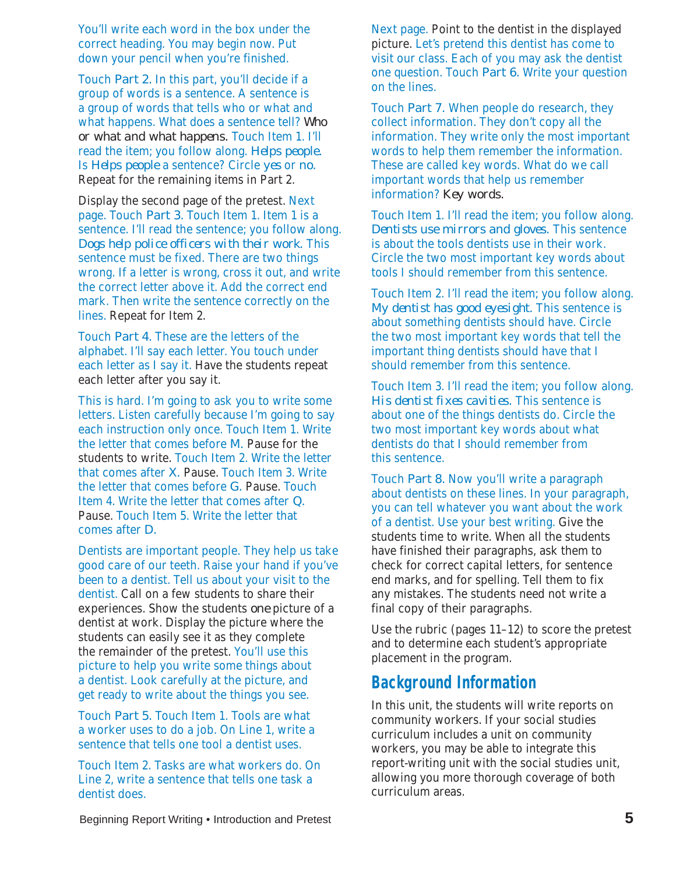You'll write each word in the box under the correct heading. You may begin now. Put down your pencil when you're finished.

Touch *Part 2.* In this part, you'll decide if a group of words is a sentence. A sentence is a group of words that tells who or what and what happens. What does a sentence tell? *Who or what and what happens.* Touch Item 1. I'll read the item; you follow along. *Helps people.* Is *Helps people* a sentence? Circle *yes* or *no.* Repeat for the remaining items in Part 2.

Display the second page of the pretest. Next page. Touch *Part 3.* Touch Item 1. Item 1 is a sentence. I'll read the sentence; you follow along. *Dogs help police officers with their work.* This sentence must be fixed. There are two things wrong. If a letter is wrong, cross it out, and write the correct letter above it. Add the correct end mark. Then write the sentence correctly on the lines. Repeat for Item 2.

Touch *Part 4.* These are the letters of the alphabet. I'll say each letter. You touch under each letter as I say it. Have the students repeat each letter after you say it.

This is hard. I'm going to ask you to write some letters. Listen carefully because I'm going to say each instruction only once. Touch Item 1. Write the letter that comes before *M.* Pause for the students to write. Touch Item 2. Write the letter that comes after *X.* Pause. Touch Item 3. Write the letter that comes before *G.* Pause. Touch Item 4. Write the letter that comes after *Q.* Pause. Touch Item 5. Write the letter that comes after *D.*

Dentists are important people. They help us take good care of our teeth. Raise your hand if you've been to a dentist. Tell us about your visit to the dentist. Call on a few students to share their experiences. Show the students *one* picture of a dentist at work. Display the picture where the students can easily see it as they complete the remainder of the pretest. You'll use this picture to help you write some things about a dentist. Look carefully at the picture, and get ready to write about the things you see.

Touch *Part 5.* Touch Item 1. Tools are what a worker uses to do a job. On Line 1, write a sentence that tells one tool a dentist uses.

Touch Item 2. Tasks are what workers do. On Line 2, write a sentence that tells one task a dentist does.

Next page. Point to the dentist in the displayed picture. Let's pretend this dentist has come to visit our class. Each of you may ask the dentist one question. Touch *Part 6.* Write your question on the lines.

Touch *Part 7.* When people do research, they collect information. They don't copy all the information. They write only the most important words to help them remember the information. These are called key words. What do we call important words that help us remember information? *Key words.*

Touch Item 1. I'll read the item; you follow along. *Dentists use mirrors and gloves.* This sentence is about the tools dentists use in their work. Circle the two most important key words about tools I should remember from this sentence.

Touch Item 2. I'll read the item; you follow along. *My dentist has good eyesight.* This sentence is about something dentists should have. Circle the two most important key words that tell the important thing dentists should have that I should remember from this sentence.

Touch Item 3. I'll read the item; you follow along. *His dentist fixes cavities.* This sentence is about one of the things dentists do. Circle the two most important key words about what dentists do that I should remember from this sentence.

Touch *Part 8.* Now you'll write a paragraph about dentists on these lines. In your paragraph, you can tell whatever you want about the work of a dentist. Use your best writing. Give the students time to write. When all the students have finished their paragraphs, ask them to check for correct capital letters, for sentence end marks, and for spelling. Tell them to fix any mistakes. The students need not write a final copy of their paragraphs.

Use the rubric (pages 11–12) to score the pretest and to determine each student's appropriate placement in the program.

#### **Background Information**

In this unit, the students will write reports on community workers. If your social studies curriculum includes a unit on community workers, you may be able to integrate this report-writing unit with the social studies unit, allowing you more thorough coverage of both curriculum areas.

Beginning Report Writing • Introduction and Pretest **5**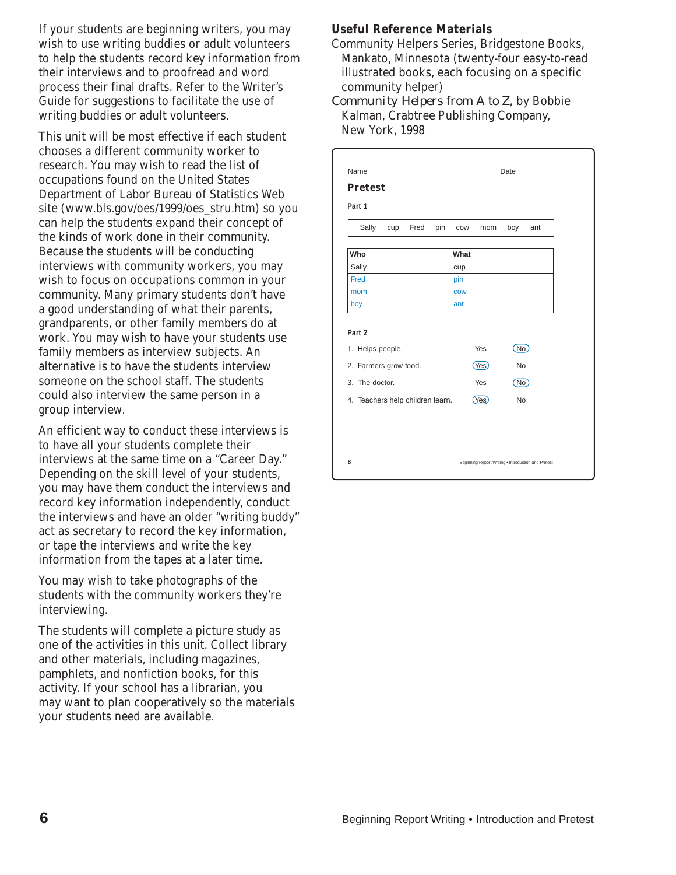If your students are beginning writers, you may wish to use writing buddies or adult volunteers to help the students record key information from their interviews and to proofread and word process their final drafts. Refer to the Writer's Guide for suggestions to facilitate the use of writing buddies or adult volunteers.

This unit will be most effective if each student chooses a different community worker to research. You may wish to read the list of occupations found on the United States Department of Labor Bureau of Statistics Web site (www.bls.gov/oes/1999/oes\_stru.htm) so you can help the students expand their concept of the kinds of work done in their community. Because the students will be conducting interviews with community workers, you may wish to focus on occupations common in your community. Many primary students don't have a good understanding of what their parents, grandparents, or other family members do at work. You may wish to have your students use family members as interview subjects. An alternative is to have the students interview someone on the school staff. The students could also interview the same person in a group interview.

An efficient way to conduct these interviews is to have all your students complete their interviews at the same time on a "Career Day." Depending on the skill level of your students, you may have them conduct the interviews and record key information independently, conduct the interviews and have an older "writing buddy" act as secretary to record the key information, or tape the interviews and write the key information from the tapes at a later time.

You may wish to take photographs of the students with the community workers they're interviewing.

The students will complete a picture study as one of the activities in this unit. Collect library and other materials, including magazines, pamphlets, and nonfiction books, for this activity. If your school has a librarian, you may want to plan cooperatively so the materials your students need are available.

#### **Useful Reference Materials**

Community Helpers Series, Bridgestone Books, Mankato, Minnesota (twenty-four easy-to-read illustrated books, each focusing on a specific community helper)

*Community Helpers from A to Z,* by Bobbie Kalman, Crabtree Publishing Company, New York, 1998

| <b>Pretest</b>                   |     |            |            |           |     |
|----------------------------------|-----|------------|------------|-----------|-----|
| Part 1                           |     |            |            |           |     |
| cup Fred<br>Sally                | pin | COW        | mom        | boy       | ant |
| Who                              |     | What       |            |           |     |
| Sally                            |     | cup        |            |           |     |
| Fred                             |     | pin        |            |           |     |
| mom                              |     | <b>COW</b> |            |           |     |
| boy                              |     | ant        |            |           |     |
|                                  |     |            |            |           |     |
| Part 2<br>1. Helps people.       |     |            | Yes        | (No)      |     |
| 2. Farmers grow food.            |     |            | Yes)       | <b>No</b> |     |
| 3. The doctor.                   |     |            | <b>Yes</b> | No.       |     |
| 4. Teachers help children learn. |     |            | (Yes)      | <b>No</b> |     |
|                                  |     |            |            |           |     |
|                                  |     |            |            |           |     |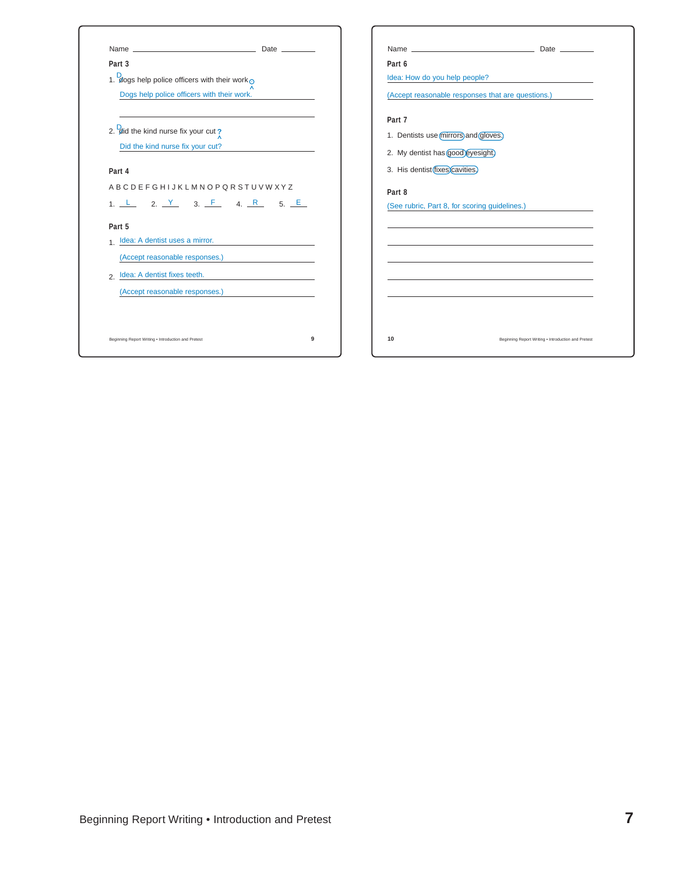| Name_<br>Date $\_\_$                                     |  |
|----------------------------------------------------------|--|
| Part 3                                                   |  |
| 1. dogs help police officers with their work $\odot$     |  |
| Dogs help police officers with their work.               |  |
| 2. <b>D</b> and the kind nurse fix your cut?             |  |
| Did the kind nurse fix your cut?                         |  |
| Part 4                                                   |  |
| <b>ABCDEFGHIJKLMNOPQRSTUVWXYZ</b>                        |  |
| 1, L 2, <u>Y 3, F 4, R 5, E</u>                          |  |
| Part 5                                                   |  |
| 1 Idea: A dentist uses a mirror.                         |  |
| (Accept reasonable responses.)                           |  |
| b Idea: A dentist fixes teeth.                           |  |
| (Accept reasonable responses.)                           |  |
|                                                          |  |
| 9<br>Beginning Report Writing . Introduction and Pretest |  |

|                                                   | Date <b>Date</b> |
|---------------------------------------------------|------------------|
| Part 6                                            |                  |
| Idea: How do you help people?                     |                  |
| (Accept reasonable responses that are questions.) |                  |
| Part 7                                            |                  |
| 1. Dentists use (mirrors) and (gloves.)           |                  |
| 2. My dentist has good eyesight.                  |                  |
| 3. His dentist (fixes) cavities.                  |                  |
| (See rubric, Part 8, for scoring guidelines.)     |                  |
| Part 8                                            |                  |
|                                                   |                  |
|                                                   |                  |
|                                                   |                  |
|                                                   |                  |
|                                                   |                  |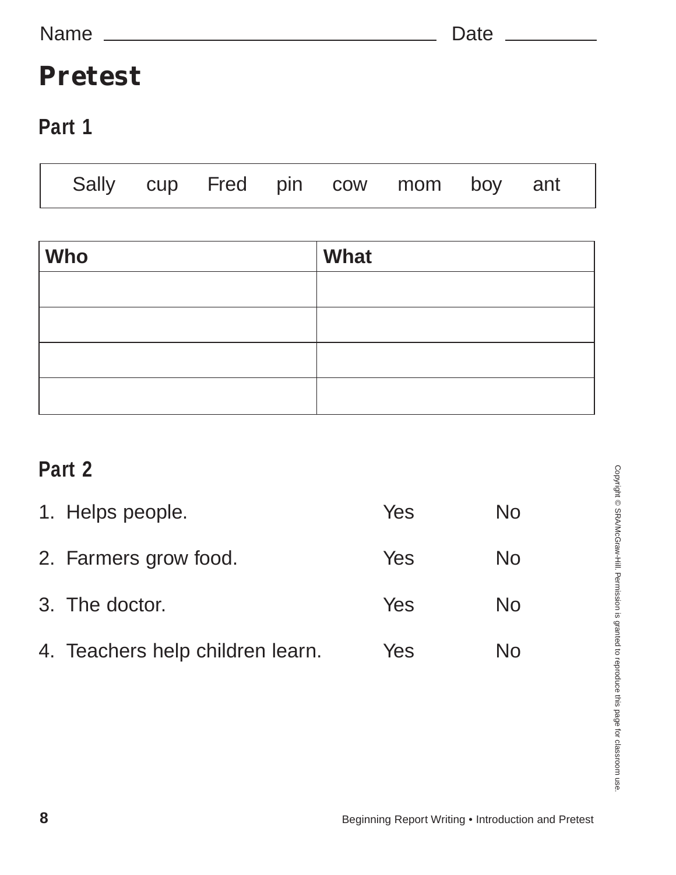# **Pretest**

### **Part 1**

| Sally cup Fred pin cow mom boy ant |  |  |  |  |
|------------------------------------|--|--|--|--|
|                                    |  |  |  |  |

| <b>Who</b> | What |
|------------|------|
|            |      |
|            |      |
|            |      |
|            |      |

### **Part 2**

| 1. Helps people.                 | Yes | No |
|----------------------------------|-----|----|
| 2. Farmers grow food.            | Yes | No |
| 3. The doctor.                   | Yes | No |
| 4. Teachers help children learn. | Yes | No |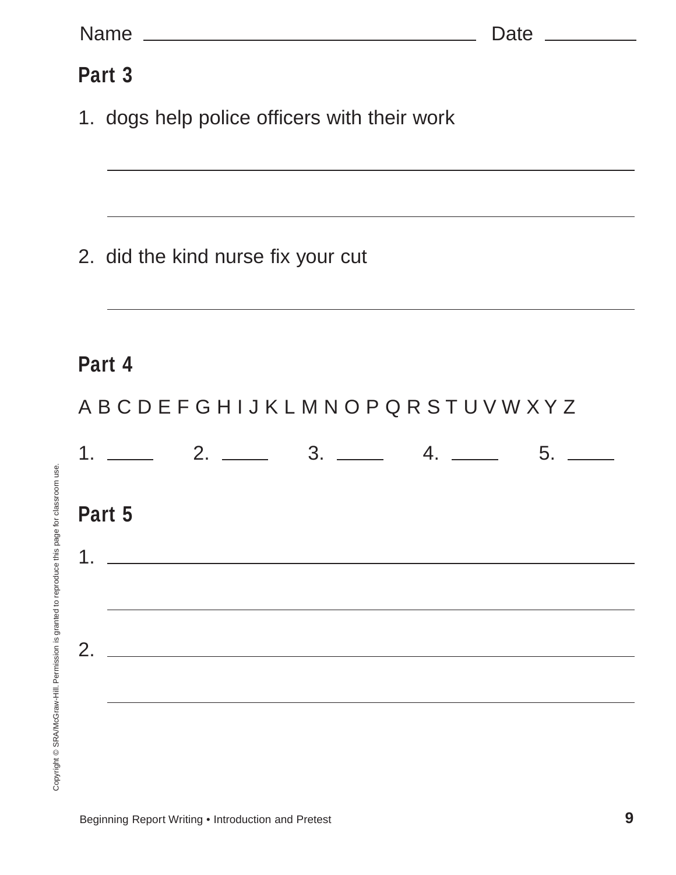| Part 3                                       |  |
|----------------------------------------------|--|
| 1. dogs help police officers with their work |  |
|                                              |  |
|                                              |  |
| 2. did the kind nurse fix your cut           |  |
|                                              |  |
| Part 4                                       |  |
| ABCDEFGHIJKLMNOPQRSTUVWXYZ                   |  |
|                                              |  |
| Part 5                                       |  |
|                                              |  |
|                                              |  |
| 2.                                           |  |
|                                              |  |
|                                              |  |
|                                              |  |
|                                              |  |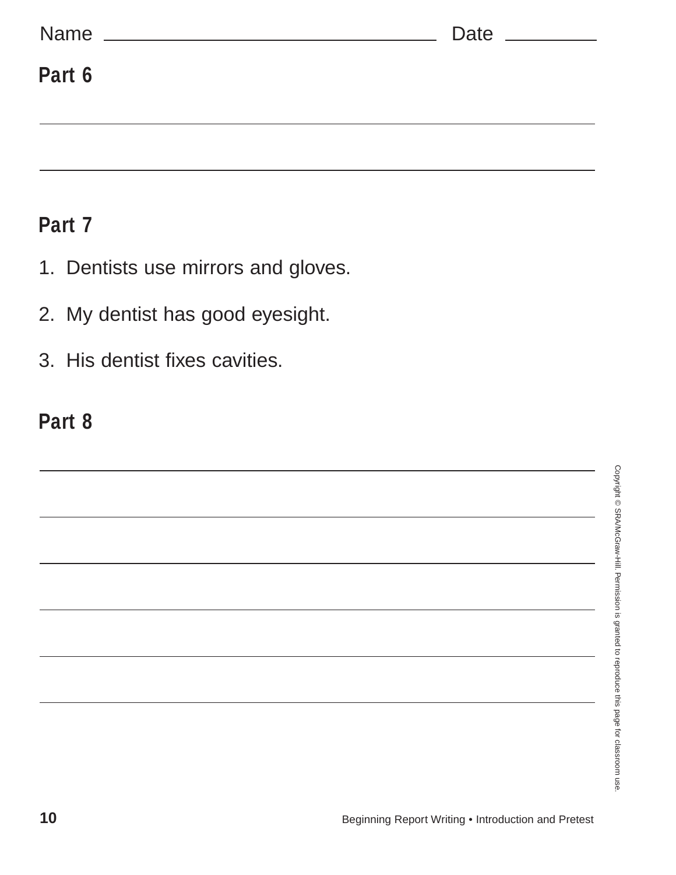| Name<br><u> 1980 - Jan Stein Stein Stein Stein Stein Stein Stein Stein Stein Stein Stein Stein Stein Stein Stein Stein S</u> | Date ___________ |
|------------------------------------------------------------------------------------------------------------------------------|------------------|
| Part 6                                                                                                                       |                  |
|                                                                                                                              |                  |

#### **Part 7**

- 1. Dentists use mirrors and gloves.
- 2. My dentist has good eyesight.
- 3. His dentist fixes cavities.

# **Part 8**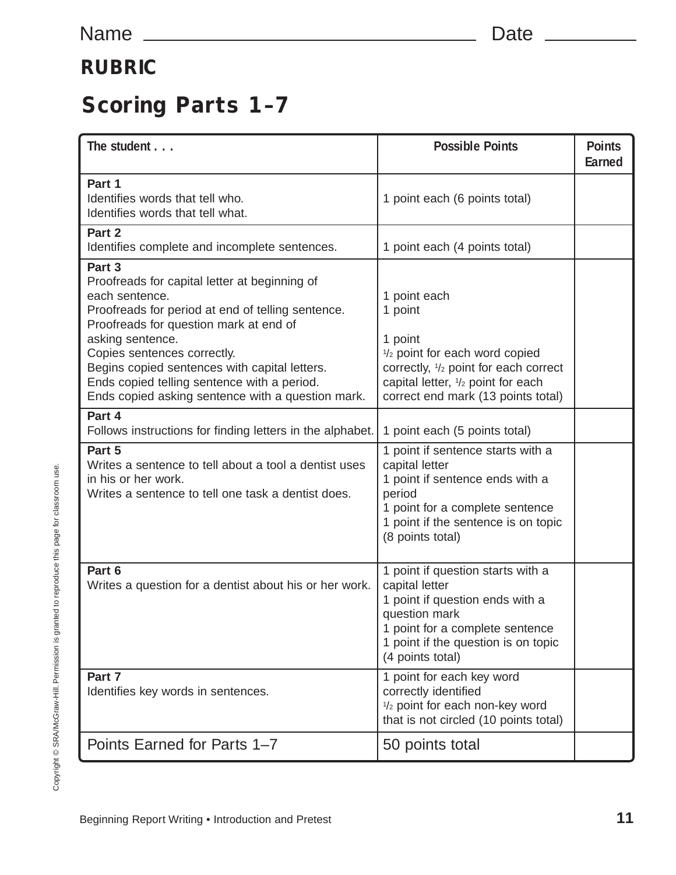#### **RUBRIC**

# **Scoring Parts 1–7**

| The student                                                                                                                                                                                                                                                                                                                                                                      | <b>Possible Points</b>                                                                                                                                                                                | <b>Points</b><br>Earned |
|----------------------------------------------------------------------------------------------------------------------------------------------------------------------------------------------------------------------------------------------------------------------------------------------------------------------------------------------------------------------------------|-------------------------------------------------------------------------------------------------------------------------------------------------------------------------------------------------------|-------------------------|
| Part 1<br>Identifies words that tell who.<br>Identifies words that tell what.                                                                                                                                                                                                                                                                                                    | 1 point each (6 points total)                                                                                                                                                                         |                         |
| Part 2<br>Identifies complete and incomplete sentences.                                                                                                                                                                                                                                                                                                                          | 1 point each (4 points total)                                                                                                                                                                         |                         |
| Part 3<br>Proofreads for capital letter at beginning of<br>each sentence.<br>Proofreads for period at end of telling sentence.<br>Proofreads for question mark at end of<br>asking sentence.<br>Copies sentences correctly.<br>Begins copied sentences with capital letters.<br>Ends copied telling sentence with a period.<br>Ends copied asking sentence with a question mark. | 1 point each<br>1 point<br>1 point<br>1/2 point for each word copied<br>correctly, 1/2 point for each correct<br>capital letter, 1/2 point for each<br>correct end mark (13 points total)             |                         |
| Part 4<br>Follows instructions for finding letters in the alphabet.                                                                                                                                                                                                                                                                                                              | 1 point each (5 points total)                                                                                                                                                                         |                         |
| Part 5<br>Writes a sentence to tell about a tool a dentist uses<br>in his or her work.<br>Writes a sentence to tell one task a dentist does.                                                                                                                                                                                                                                     | 1 point if sentence starts with a<br>capital letter<br>1 point if sentence ends with a<br>period<br>1 point for a complete sentence<br>1 point if the sentence is on topic<br>(8 points total)        |                         |
| Part 6<br>Writes a question for a dentist about his or her work.                                                                                                                                                                                                                                                                                                                 | 1 point if question starts with a<br>capital letter<br>1 point if question ends with a<br>question mark<br>1 point for a complete sentence<br>1 point if the question is on topic<br>(4 points total) |                         |
| Part 7<br>Identifies key words in sentences.                                                                                                                                                                                                                                                                                                                                     | 1 point for each key word<br>correctly identified<br>1/2 point for each non-key word<br>that is not circled (10 points total)                                                                         |                         |
| Points Earned for Parts 1-7                                                                                                                                                                                                                                                                                                                                                      | 50 points total                                                                                                                                                                                       |                         |